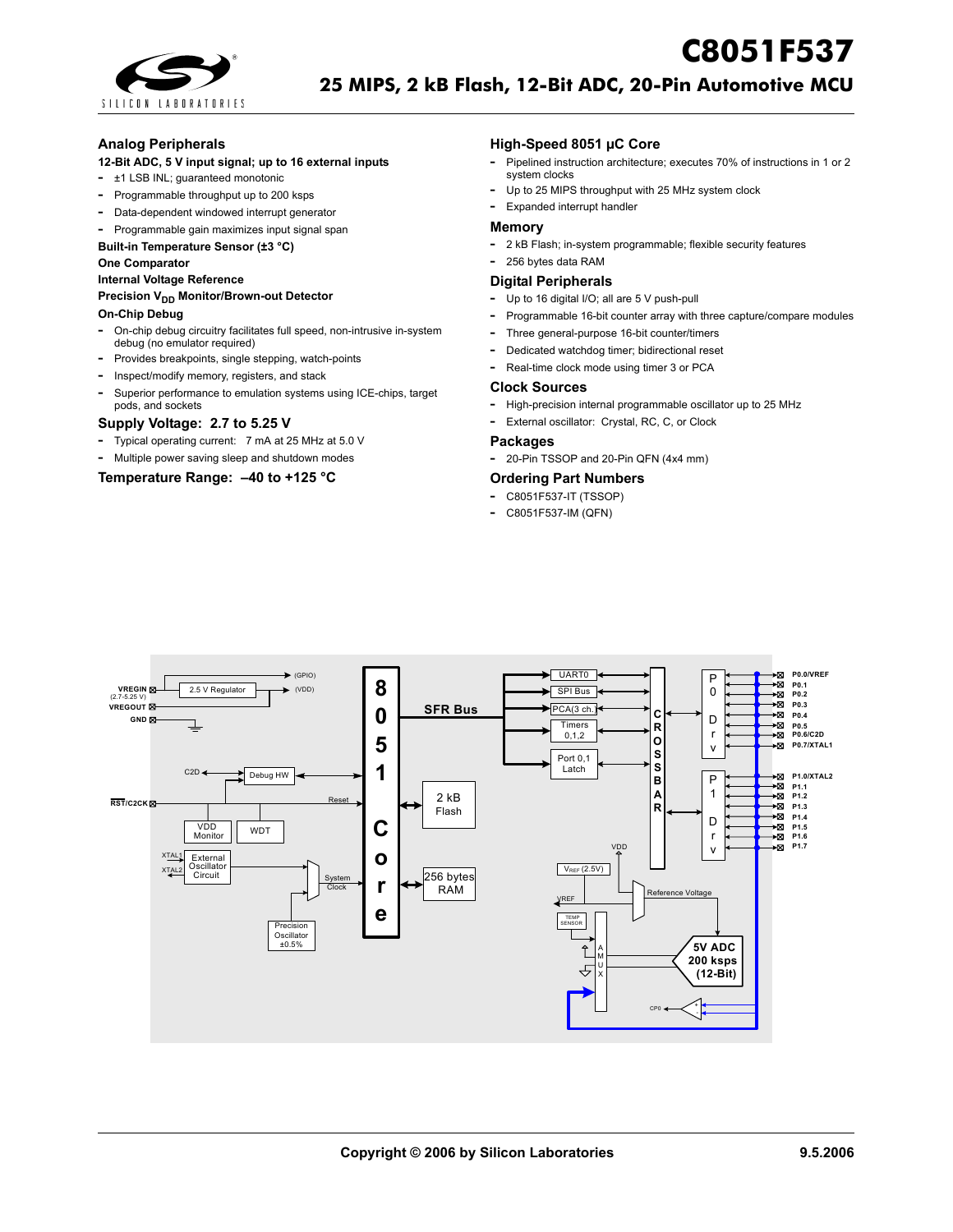

## **Analog Peripherals**

## **12-Bit ADC, 5 V input signal; up to 16 external inputs**

- **-** ±1 LSB INL; guaranteed monotonic
- **-** Programmable throughput up to 200 ksps
- **-** Data-dependent windowed interrupt generator
- **-** Programmable gain maximizes input signal span

## **Built-in Temperature Sensor (±3 °C)**

#### **One Comparator**

**Internal Voltage Reference**

#### **Precision V<sub>DD</sub> Monitor/Brown-out Detector**

#### **On-Chip Debug**

- **-** On-chip debug circuitry facilitates full speed, non-intrusive in-system debug (no emulator required)
- **-** Provides breakpoints, single stepping, watch-points
- **-** Inspect/modify memory, registers, and stack
- **-** Superior performance to emulation systems using ICE-chips, target pods, and sockets

## **Supply Voltage: 2.7 to 5.25 V**

- **-** Typical operating current: 7 mA at 25 MHz at 5.0 V
- **-** Multiple power saving sleep and shutdown modes

## **Temperature Range: –40 to +125 °C**

## **High-Speed 8051 µC Core**

**-** Pipelined instruction architecture; executes 70% of instructions in 1 or 2 system clocks

**C8051F537**

- **-** Up to 25 MIPS throughput with 25 MHz system clock
- **-** Expanded interrupt handler

#### **Memory**

- **-** 2 kB Flash; in-system programmable; flexible security features
- **-** 256 bytes data RAM

## **Digital Peripherals**

- **-** Up to 16 digital I/O; all are 5 V push-pull
- **-** Programmable 16-bit counter array with three capture/compare modules
- **-** Three general-purpose 16-bit counter/timers
- **-** Dedicated watchdog timer; bidirectional reset
- **-** Real-time clock mode using timer 3 or PCA

#### **Clock Sources**

- **-** High-precision internal programmable oscillator up to 25 MHz
- **-** External oscillator: Crystal, RC, C, or Clock

#### **Packages**

**-** 20-Pin TSSOP and 20-Pin QFN (4x4 mm)

#### **Ordering Part Numbers**

- **-** C8051F537-IT (TSSOP)
- **-** C8051F537-IM (QFN)